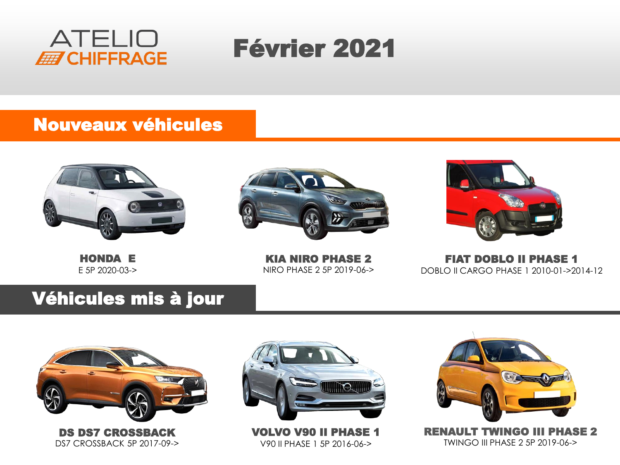

# Février 2021

#### Nouveaux véhicules



HONDA E E 5P 2020-03->



KIA NIRO PHASE 2 NIRO PHASE 2 5P 2019-06->



FIAT DOBLO II PHASE 1 DOBLO II CARGO PHASE 1 2010-01->2014-12

#### Véhicules mis à jour



DS DS7 CROSSBACK DS7 CROSSBACK 5P 2017-09->



VOLVO V90 II PHASE 1 V90 II PHASE 1 5P 2016-06->



RENAULT TWINGO III PHASE 2 TWINGO III PHASE 2 5P 2019-06->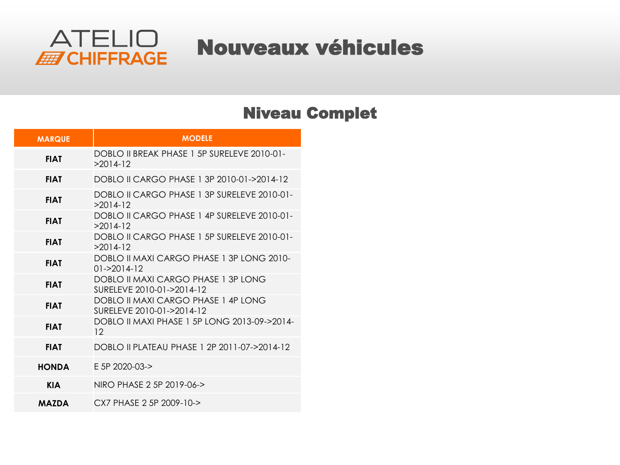

### Nouveaux véhicules

#### Niveau Complet

| <b>MARQUE</b> | <b>MODELE</b>                                                    |
|---------------|------------------------------------------------------------------|
| <b>FIAT</b>   | DOBLO II BREAK PHASE 1 5P SURFLEVE 2010-01-<br>$>2014-12$        |
| <b>FIAT</b>   | DOBLO II CARGO PHASE 1 3P 2010-01->2014-12                       |
| <b>FIAT</b>   | DOBLO II CARGO PHASE 1 3P SURFI EVE 2010-01-<br>$>2014-12$       |
| <b>FIAT</b>   | DOBLO II CARGO PHASE 1 4P SURFLEVE 2010-01-<br>$>2014-12$        |
| <b>FIAT</b>   | DOBLO II CARGO PHASE 1.5P SURFLEVE 2010-01-<br>$>2014-12$        |
| <b>FIAT</b>   | DOBLO II MAXI CARGO PHASE 1 3P LONG 2010-<br>$01 - 2014 - 12$    |
| <b>FIAT</b>   | DOBLO II MAXI CARGO PHASE 1 3P LONG<br>SURFLEVE 2010-01->2014-12 |
| <b>FIAT</b>   | DOBLO II MAXI CARGO PHASE 1 4P LONG<br>SURFLEVE 2010-01->2014-12 |
| <b>FIAT</b>   | DOBLO II MAXI PHASE 1 5P LONG 2013-09->2014-<br>12 <sup>°</sup>  |
| <b>FIAT</b>   | DOBLO II PLATEAU PHASE 1 2P 2011-07->2014-12                     |
| HONDA         | $F$ 5P 2020-03- $>$                                              |
| <b>KIA</b>    | NIRO PHASE 2 5P 2019-06->                                        |
| <b>MAZDA</b>  | CX7 PHASE 2.5P 2009-10->                                         |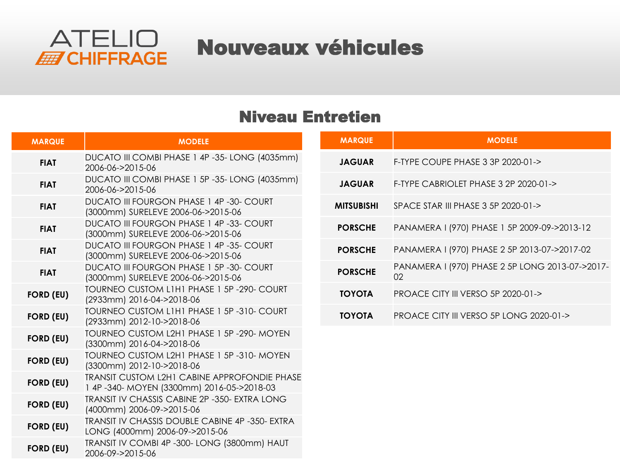

### Nouveaux véhicules

#### Niveau Entretien

| <b>MARQUE</b>    | <b>MODELE</b>                                                                             | <b>MARQUE</b>     | <b>MODELE</b>                                         |
|------------------|-------------------------------------------------------------------------------------------|-------------------|-------------------------------------------------------|
| <b>FIAT</b>      | DUCATO III COMBI PHASE 1 4P -35- LONG (4035mm)<br>2006-06->2015-06                        | <b>JAGUAR</b>     | F-TYPE COUPE PHASE 3 3P 2020-01->                     |
| <b>FIAT</b>      | DUCATO III COMBI PHASE 1 5P -35- LONG (4035mm)<br>2006-06->2015-06                        | <b>JAGUAR</b>     | F-TYPE CABRIOLET PHASE 3 2P 2020-01->                 |
| <b>FIAT</b>      | <b>DUCATO III FOURGON PHASE 1 4P -30- COURT</b><br>(3000mm) SURELEVE 2006-06->2015-06     | <b>MITSUBISHI</b> | SPACE STAR III PHASE 3 5P 2020-01->                   |
| <b>FIAT</b>      | <b>DUCATO III FOURGON PHASE 1 4P -33- COURT</b><br>(3000mm) SURELEVE 2006-06->2015-06     | <b>PORSCHE</b>    | PANAMERA I (970) PHASE 1 5P 2009-09->2013-12          |
| <b>FIAT</b>      | <b>DUCATO III FOURGON PHASE 1 4P -35- COURT</b><br>(3000mm) SURELEVE 2006-06->2015-06     | <b>PORSCHE</b>    | PANAMERA I (970) PHASE 2 5P 2013-07->2017-02          |
| <b>FIAT</b>      | DUCATO III FOURGON PHASE 1 5P -30- COURT<br>(3000mm) SURELEVE 2006-06->2015-06            | <b>PORSCHE</b>    | PANAMERA I (970) PHASE 2 5P LONG 2013-07->2017-<br>02 |
| <b>FORD (EU)</b> | TOURNEO CUSTOM LIHI PHASE 1 5P -290- COURT<br>(2933mm) 2016-04->2018-06                   | <b>TOYOTA</b>     | PROACE CITY III VERSO 5P 2020-01->                    |
| <b>FORD (EU)</b> | TOURNEO CUSTOM L1H1 PHASE 1 5P-310- COURT<br>(2933mm) 2012-10->2018-06                    | <b>TOYOTA</b>     | PROACE CITY III VERSO 5P LONG 2020-01->               |
| <b>FORD (EU)</b> | TOURNEO CUSTOM L2H1 PHASE 1 5P-290- MOYEN<br>(3300mm) 2016-04->2018-06                    |                   |                                                       |
| <b>FORD (EU)</b> | TOURNEO CUSTOM L2H1 PHASE 1 5P -310- MOYEN<br>(3300mm) 2012-10->2018-06                   |                   |                                                       |
| <b>FORD (EU)</b> | TRANSIT CUSTOM L2H1 CABINE APPROFONDIE PHASE<br>1 4P-340- MOYEN (3300mm) 2016-05->2018-03 |                   |                                                       |
| <b>FORD (EU)</b> | TRANSIT IV CHASSIS CABINE 2P -350- EXTRA LONG<br>(4000mm) 2006-09->2015-06                |                   |                                                       |
| <b>FORD (EU)</b> | TRANSIT IV CHASSIS DOUBLE CABINE 4P -350- EXTRA<br>LONG (4000mm) 2006-09->2015-06         |                   |                                                       |
| <b>FORD (EU)</b> | TRANSIT IV COMBI 4P -300- LONG (3800mm) HAUT<br>2006-09->2015-06                          |                   |                                                       |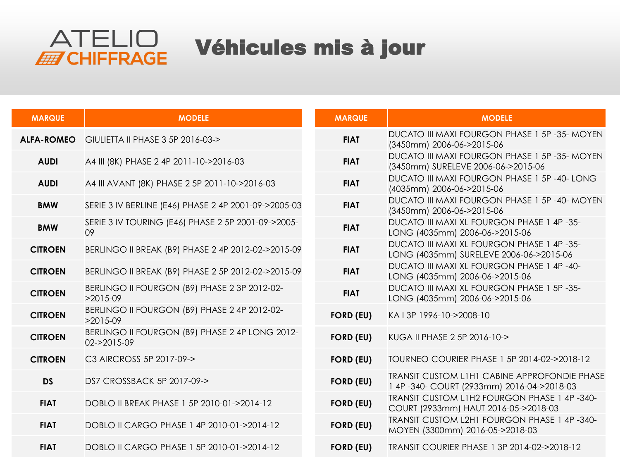

## Véhicules mis à jour

| <b>MARQUE</b>     | <b>MODELE</b>                                                 | <b>MARQUE</b>    | <b>MODELE</b>                                                                                    |
|-------------------|---------------------------------------------------------------|------------------|--------------------------------------------------------------------------------------------------|
| <b>ALFA-ROMEO</b> | GIULIETTA II PHASE 3 5P 2016-03->                             | <b>FIAT</b>      | <b>DUCATO III MAXI FOURGON PHASE 1 5P -35- MOYEN</b><br>(3450mm) 2006-06->2015-06                |
| <b>AUDI</b>       | A4 III (8K) PHASE 2 4P 2011-10->2016-03                       | <b>FIAT</b>      | DUCATO III MAXI FOURGON PHASE 1 5P -35- MOYEN<br>(3450mm) SURELEVE 2006-06->2015-06              |
| <b>AUDI</b>       | A4 III AVANT (8K) PHASE 2 5P 2011-10->2016-03                 | <b>FIAT</b>      | DUCATO III MAXI FOURGON PHASE 1 5P -40- LONG<br>(4035mm) 2006-06->2015-06                        |
| <b>BMW</b>        | SERIE 3 IV BERLINE (E46) PHASE 2 4P 2001-09->2005-03          | <b>FIAT</b>      | DUCATO III MAXI FOURGON PHASE 1 5P -40- MOYEN<br>(3450mm) 2006-06->2015-06                       |
| <b>BMW</b>        | SERIE 3 IV TOURING (E46) PHASE 2 5P 2001-09->2005-<br>09      | <b>FIAT</b>      | DUCATO III MAXI XL FOURGON PHASE 1 4P -35-<br>LONG (4035mm) 2006-06->2015-06                     |
| <b>CITROEN</b>    | BERLINGO II BREAK (B9) PHASE 2 4P 2012-02->2015-09            | <b>FIAT</b>      | DUCATO III MAXI XL FOURGON PHASE 1 4P -35-<br>LONG (4035mm) SURELEVE 2006-06->2015-06            |
| <b>CITROEN</b>    | BERLINGO II BREAK (B9) PHASE 2 5P 2012-02->2015-09            | <b>FIAT</b>      | DUCATO III MAXI XL FOURGON PHASE 1 4P -40-<br>LONG (4035mm) 2006-06->2015-06                     |
| <b>CITROEN</b>    | BERLINGO II FOURGON (B9) PHASE 2 3P 2012-02-<br>$>2015-09$    | <b>FIAT</b>      | <b>DUCATO III MAXI XL FOURGON PHASE 1 5P-35-</b><br>LONG (4035mm) 2006-06->2015-06               |
| <b>CITROEN</b>    | BERLINGO II FOURGON (B9) PHASE 2 4P 2012-02-<br>$>2015-09$    | <b>FORD (EU)</b> | KA I 3P 1996-10->2008-10                                                                         |
| <b>CITROEN</b>    | BERLINGO II FOURGON (B9) PHASE 2 4P LONG 2012-<br>02->2015-09 | <b>FORD (EU)</b> | KUGA II PHASE 2 5P 2016-10->                                                                     |
| <b>CITROEN</b>    | C3 AIRCROSS 5P 2017-09->                                      | <b>FORD (EU)</b> | TOURNEO COURIER PHASE 1 5P 2014-02->2018-12                                                      |
| <b>DS</b>         | DS7 CROSSBACK 5P 2017-09->                                    | <b>FORD (EU)</b> | <b>TRANSIT CUSTOM LIHI CABINE APPROFONDIE PHASE</b><br>1 4P-340- COURT (2933mm) 2016-04->2018-03 |
| <b>FIAT</b>       | DOBLO II BREAK PHASE 1 5P 2010-01->2014-12                    | <b>FORD (EU)</b> | TRANSIT CUSTOM L1H2 FOURGON PHASE 1 4P-340-<br>COURT (2933mm) HAUT 2016-05->2018-03              |
| <b>FIAT</b>       | DOBLO II CARGO PHASE 1 4P 2010-01->2014-12                    | <b>FORD (EU)</b> | TRANSIT CUSTOM L2H1 FOURGON PHASE 1 4P -340-<br>MOYEN (3300mm) 2016-05->2018-03                  |
| <b>FIAT</b>       | DOBLO II CARGO PHASE 1 5P 2010-01->2014-12                    | <b>FORD (EU)</b> | TRANSIT COURIER PHASE 1 3P 2014-02->2018-12                                                      |